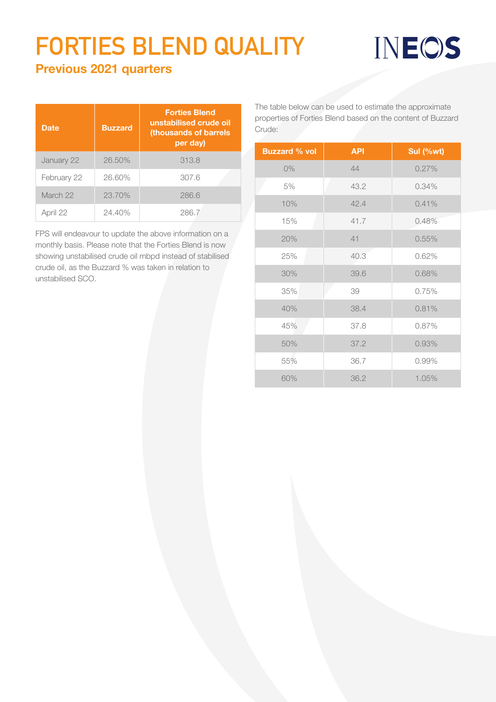## **FORTIES BLEND QUALITY**

## INEOS

## Previous 2021 quarters

| <b>Date</b> | <b>Buzzard</b> | <b>Forties Blend</b><br>unstabilised crude oil<br>(thousands of barrels<br>per day) |
|-------------|----------------|-------------------------------------------------------------------------------------|
| January 22  | 26.50%         | 313.8                                                                               |
| February 22 | 26.60%         | 307.6                                                                               |
| March 22    | 23.70%         | 286.6                                                                               |
| April 22    | 24.40%         | 286.7                                                                               |

FPS will endeavour to update the above information on a monthly basis. Please note that the Forties Blend is now showing unstabilised crude oil mbpd instead of stabilised crude oil, as the Buzzard % was taken in relation to unstabilised SCO.

The table below can be used to estimate the approximate properties of Forties Blend based on the content of Buzzard Crude:

| <b>Buzzard % vol</b> | <b>API</b> | Sul (%wt) |
|----------------------|------------|-----------|
| $0\%$                | 44         | 0.27%     |
| 5%                   | 43.2       | 0.34%     |
| 10%                  | 42.4       | 0.41%     |
| 15%                  | 41.7       | 0.48%     |
| 20%                  | 41         | 0.55%     |
| 25%                  | 40.3       | 0.62%     |
| 30%                  | 39.6       | 0.68%     |
| 35%                  | 39         | 0.75%     |
| 40%                  | 38.4       | 0.81%     |
| 45%                  | 37.8       | 0.87%     |
| 50%                  | 37.2       | 0.93%     |
| 55%                  | 36.7       | 0.99%     |
| 60%                  | 36.2       | 1.05%     |